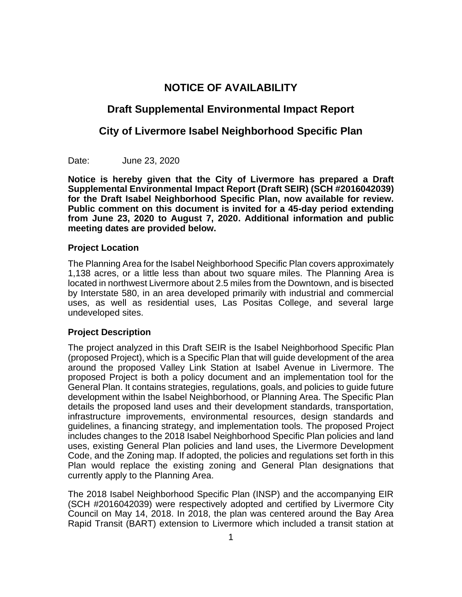## **NOTICE OF AVAILABILITY**

# **Draft Supplemental Environmental Impact Report**

## **City of Livermore Isabel Neighborhood Specific Plan**

Date: June 23, 2020

**Notice is hereby given that the City of Livermore has prepared a Draft Supplemental Environmental Impact Report (Draft SEIR) (SCH #2016042039) for the Draft Isabel Neighborhood Specific Plan, now available for review. Public comment on this document is invited for a 45-day period extending from June 23, 2020 to August 7, 2020. Additional information and public meeting dates are provided below.** 

## **Project Location**

The Planning Area for the Isabel Neighborhood Specific Plan covers approximately 1,138 acres, or a little less than about two square miles. The Planning Area is located in northwest Livermore about 2.5 miles from the Downtown, and is bisected by Interstate 580, in an area developed primarily with industrial and commercial uses, as well as residential uses, Las Positas College, and several large undeveloped sites.

## **Project Description**

The project analyzed in this Draft SEIR is the Isabel Neighborhood Specific Plan (proposed Project), which is a Specific Plan that will guide development of the area around the proposed Valley Link Station at Isabel Avenue in Livermore. The proposed Project is both a policy document and an implementation tool for the General Plan. It contains strategies, regulations, goals, and policies to guide future development within the Isabel Neighborhood, or Planning Area. The Specific Plan details the proposed land uses and their development standards, transportation, infrastructure improvements, environmental resources, design standards and guidelines, a financing strategy, and implementation tools. The proposed Project includes changes to the 2018 Isabel Neighborhood Specific Plan policies and land uses, existing General Plan policies and land uses, the Livermore Development Code, and the Zoning map. If adopted, the policies and regulations set forth in this Plan would replace the existing zoning and General Plan designations that currently apply to the Planning Area.

The 2018 Isabel Neighborhood Specific Plan (INSP) and the accompanying EIR (SCH #2016042039) were respectively adopted and certified by Livermore City Council on May 14, 2018. In 2018, the plan was centered around the Bay Area Rapid Transit (BART) extension to Livermore which included a transit station at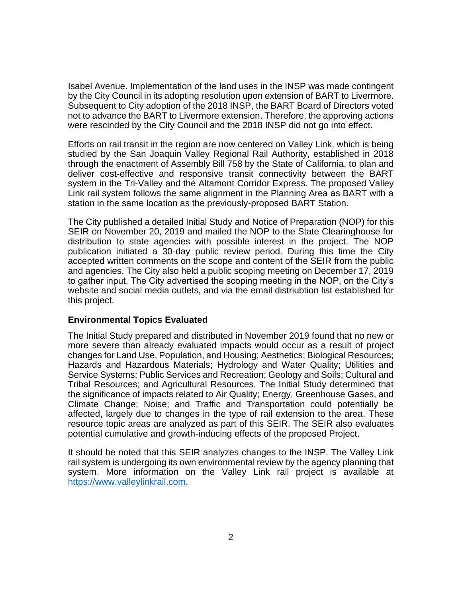Isabel Avenue. Implementation of the land uses in the INSP was made contingent by the City Council in its adopting resolution upon extension of BART to Livermore. Subsequent to City adoption of the 2018 INSP, the BART Board of Directors voted not to advance the BART to Livermore extension. Therefore, the approving actions were rescinded by the City Council and the 2018 INSP did not go into effect.

Efforts on rail transit in the region are now centered on Valley Link, which is being studied by the San Joaquin Valley Regional Rail Authority, established in 2018 through the enactment of Assembly Bill 758 by the State of California, to plan and deliver cost-effective and responsive transit connectivity between the BART system in the Tri-Valley and the Altamont Corridor Express. The proposed Valley Link rail system follows the same alignment in the Planning Area as BART with a station in the same location as the previously-proposed BART Station.

The City published a detailed Initial Study and Notice of Preparation (NOP) for this SEIR on November 20, 2019 and mailed the NOP to the State Clearinghouse for distribution to state agencies with possible interest in the project. The NOP publication initiated a 30-day public review period. During this time the City accepted written comments on the scope and content of the SEIR from the public and agencies. The City also held a public scoping meeting on December 17, 2019 to gather input. The City advertised the scoping meeting in the NOP, on the City's website and social media outlets, and via the email distriubtion list established for this project.

### **Environmental Topics Evaluated**

The Initial Study prepared and distributed in November 2019 found that no new or more severe than already evaluated impacts would occur as a result of project changes for Land Use, Population, and Housing; Aesthetics; Biological Resources; Hazards and Hazardous Materials; Hydrology and Water Quality; Utilities and Service Systems; Public Services and Recreation; Geology and Soils; Cultural and Tribal Resources; and Agricultural Resources. The Initial Study determined that the significance of impacts related to Air Quality; Energy, Greenhouse Gases, and Climate Change; Noise; and Traffic and Transportation could potentially be affected, largely due to changes in the type of rail extension to the area. These resource topic areas are analyzed as part of this SEIR. The SEIR also evaluates potential cumulative and growth-inducing effects of the proposed Project.

It should be noted that this SEIR analyzes changes to the INSP. The Valley Link rail system is undergoing its own environmental review by the agency planning that system. More information on the Valley Link rail project is available at [https://www.valleylinkrail.com.](about:blank)